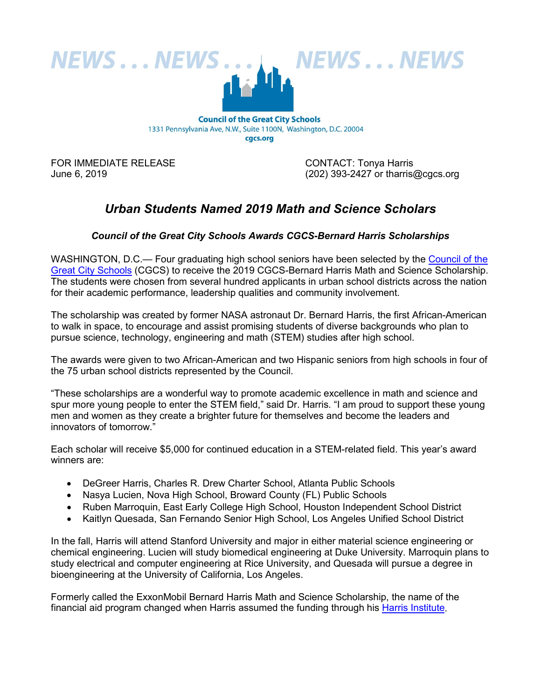

cgcs.org

FOR IMMEDIATE RELEASE CONTACT: Tonya Harris

June 6, 2019 (202) 393-2427 or tharris@cgcs.org

## *Urban Students Named 2019 Math and Science Scholars*

## *Council of the Great City Schools Awards CGCS-Bernard Harris Scholarships*

WASHINGTON, D.C.— Four graduating high school seniors have been selected by the [Council of the](http://cgcs.org/site/default.aspx?PageID=1)  [Great City Schools](http://cgcs.org/site/default.aspx?PageID=1) (CGCS) to receive the 2019 CGCS-Bernard Harris Math and Science Scholarship. The students were chosen from several hundred applicants in urban school districts across the nation for their academic performance, leadership qualities and community involvement.

The scholarship was created by former NASA astronaut Dr. Bernard Harris, the first African-American to walk in space, to encourage and assist promising students of diverse backgrounds who plan to pursue science, technology, engineering and math (STEM) studies after high school.

The awards were given to two African-American and two Hispanic seniors from high schools in four of the 75 urban school districts represented by the Council.

"These scholarships are a wonderful way to promote academic excellence in math and science and spur more young people to enter the STEM field," said Dr. Harris. "I am proud to support these young men and women as they create a brighter future for themselves and become the leaders and innovators of tomorrow."

Each scholar will receive \$5,000 for continued education in a STEM-related field. This year's award winners are:

- DeGreer Harris, Charles R. Drew Charter School, Atlanta Public Schools
- Nasya Lucien, Nova High School, Broward County (FL) Public Schools
- Ruben Marroquin, East Early College High School, Houston Independent School District
- Kaitlyn Quesada, San Fernando Senior High School, Los Angeles Unified School District

In the fall, Harris will attend Stanford University and major in either material science engineering or chemical engineering. Lucien will study biomedical engineering at Duke University. Marroquin plans to study electrical and computer engineering at Rice University, and Quesada will pursue a degree in bioengineering at the University of California, Los Angeles.

Formerly called the ExxonMobil Bernard Harris Math and Science Scholarship, the name of the financial aid program changed when Harris assumed the funding through his [Harris Institute.](http://www.theharrisfoundation.org/)